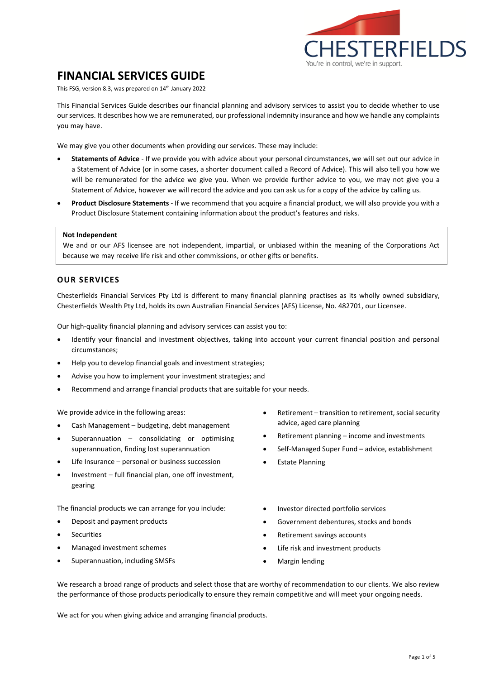

# **FINANCIAL SERVICES GUIDE**

This FSG, version 8.3, was prepared on 14th January 2022

This Financial Services Guide describes our financial planning and advisory services to assist you to decide whether to use our services. It describes how we are remunerated, our professional indemnity insurance and how we handle any complaints you may have.

We may give you other documents when providing our services. These may include:

- **Statements of Advice** If we provide you with advice about your personal circumstances, we will set out our advice in a Statement of Advice (or in some cases, a shorter document called a Record of Advice). This will also tell you how we will be remunerated for the advice we give you. When we provide further advice to you, we may not give you a Statement of Advice, however we will record the advice and you can ask us for a copy of the advice by calling us.
- **Product Disclosure Statements** If we recommend that you acquire a financial product, we will also provide you with a Product Disclosure Statement containing information about the product's features and risks.

#### **Not Independent**

We and or our AFS licensee are not independent, impartial, or unbiased within the meaning of the Corporations Act because we may receive life risk and other commissions, or other gifts or benefits.

## **OUR SERVICES**

Chesterfields Financial Services Pty Ltd is different to many financial planning practises as its wholly owned subsidiary, Chesterfields Wealth Pty Ltd, holds its own Australian Financial Services (AFS) License, No. 482701, our Licensee.

Our high-quality financial planning and advisory services can assist you to:

- Identify your financial and investment objectives, taking into account your current financial position and personal circumstances;
- Help you to develop financial goals and investment strategies;
- Advise you how to implement your investment strategies; and
- Recommend and arrange financial products that are suitable for your needs.

We provide advice in the following areas:

- Cash Management budgeting, debt management
- Superannuation consolidating or optimising superannuation, finding lost superannuation
- Life Insurance personal or business succession
- Investment full financial plan, one off investment, gearing

The financial products we can arrange for you include:

- Deposit and payment products
- **Securities**
- Managed investment schemes
- Superannuation, including SMSFs
- Retirement transition to retirement, social security advice, aged care planning
- Retirement planning income and investments
- Self-Managed Super Fund advice, establishment
- **Estate Planning**
- Investor directed portfolio services
- Government debentures, stocks and bonds
- Retirement savings accounts
- Life risk and investment products
- Margin lending

We research a broad range of products and select those that are worthy of recommendation to our clients. We also review the performance of those products periodically to ensure they remain competitive and will meet your ongoing needs.

We act for you when giving advice and arranging financial products.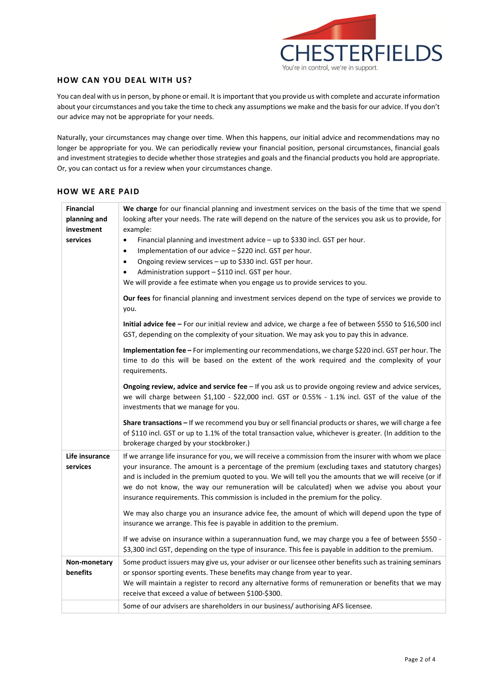

## **HOW CAN YOU DEAL WITH US?**

You can deal with us in person, by phone or email. It is important that you provide us with complete and accurate information about your circumstances and you take the time to check any assumptions we make and the basis for our advice. If you don't our advice may not be appropriate for your needs.

Naturally, your circumstances may change over time. When this happens, our initial advice and recommendations may no longer be appropriate for you. We can periodically review your financial position, personal circumstances, financial goals and investment strategies to decide whether those strategies and goals and the financial products you hold are appropriate. Or, you can contact us for a review when your circumstances change.

## **HOW WE ARE PAID**

| <b>Financial</b><br>planning and<br>investment<br>services | We charge for our financial planning and investment services on the basis of the time that we spend<br>looking after your needs. The rate will depend on the nature of the services you ask us to provide, for<br>example:<br>Financial planning and investment advice - up to \$330 incl. GST per hour.<br>$\bullet$<br>Implementation of our advice - \$220 incl. GST per hour.<br>$\bullet$<br>Ongoing review services - up to \$330 incl. GST per hour.<br>$\bullet$<br>Administration support - \$110 incl. GST per hour.<br>$\bullet$<br>We will provide a fee estimate when you engage us to provide services to you.<br>Our fees for financial planning and investment services depend on the type of services we provide to |  |
|------------------------------------------------------------|--------------------------------------------------------------------------------------------------------------------------------------------------------------------------------------------------------------------------------------------------------------------------------------------------------------------------------------------------------------------------------------------------------------------------------------------------------------------------------------------------------------------------------------------------------------------------------------------------------------------------------------------------------------------------------------------------------------------------------------|--|
|                                                            | you.<br>Initial advice fee - For our initial review and advice, we charge a fee of between \$550 to \$16,500 incl<br>GST, depending on the complexity of your situation. We may ask you to pay this in advance.                                                                                                                                                                                                                                                                                                                                                                                                                                                                                                                      |  |
|                                                            | Implementation fee - For implementing our recommendations, we charge \$220 incl. GST per hour. The<br>time to do this will be based on the extent of the work required and the complexity of your<br>requirements.                                                                                                                                                                                                                                                                                                                                                                                                                                                                                                                   |  |
|                                                            | Ongoing review, advice and service fee - If you ask us to provide ongoing review and advice services,<br>we will charge between \$1,100 - \$22,000 incl. GST or 0.55% - 1.1% incl. GST of the value of the<br>investments that we manage for you.                                                                                                                                                                                                                                                                                                                                                                                                                                                                                    |  |
|                                                            | Share transactions - If we recommend you buy or sell financial products or shares, we will charge a fee<br>of \$110 incl. GST or up to 1.1% of the total transaction value, whichever is greater. (In addition to the<br>brokerage charged by your stockbroker.)                                                                                                                                                                                                                                                                                                                                                                                                                                                                     |  |
| Life insurance<br>services                                 | If we arrange life insurance for you, we will receive a commission from the insurer with whom we place<br>your insurance. The amount is a percentage of the premium (excluding taxes and statutory charges)<br>and is included in the premium quoted to you. We will tell you the amounts that we will receive (or if<br>we do not know, the way our remuneration will be calculated) when we advise you about your<br>insurance requirements. This commission is included in the premium for the policy.                                                                                                                                                                                                                            |  |
|                                                            | We may also charge you an insurance advice fee, the amount of which will depend upon the type of<br>insurance we arrange. This fee is payable in addition to the premium.                                                                                                                                                                                                                                                                                                                                                                                                                                                                                                                                                            |  |
|                                                            | If we advise on insurance within a superannuation fund, we may charge you a fee of between \$550 -<br>\$3,300 incl GST, depending on the type of insurance. This fee is payable in addition to the premium.                                                                                                                                                                                                                                                                                                                                                                                                                                                                                                                          |  |
| Non-monetary<br>benefits                                   | Some product issuers may give us, your adviser or our licensee other benefits such as training seminars<br>or sponsor sporting events. These benefits may change from year to year.<br>We will maintain a register to record any alternative forms of remuneration or benefits that we may<br>receive that exceed a value of between \$100-\$300.                                                                                                                                                                                                                                                                                                                                                                                    |  |
|                                                            | Some of our advisers are shareholders in our business/ authorising AFS licensee.                                                                                                                                                                                                                                                                                                                                                                                                                                                                                                                                                                                                                                                     |  |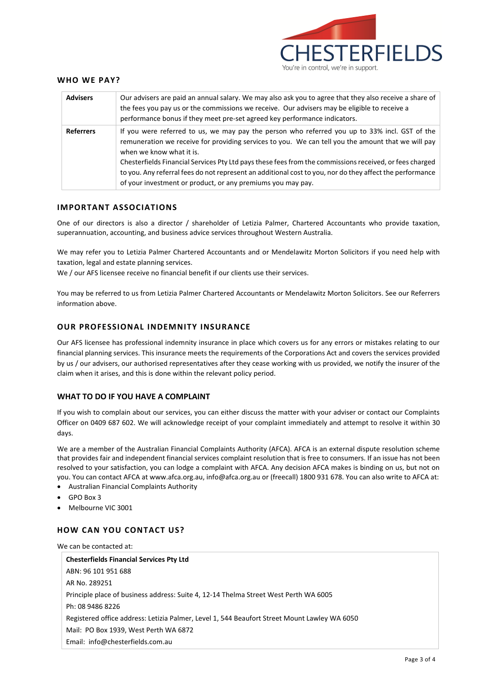

#### **WHO WE PAY?**

| <b>Advisers</b>  | Our advisers are paid an annual salary. We may also ask you to agree that they also receive a share of<br>the fees you pay us or the commissions we receive. Our advisers may be eligible to receive a<br>performance bonus if they meet pre-set agreed key performance indicators.                                                                                                                                                                                                                                   |
|------------------|-----------------------------------------------------------------------------------------------------------------------------------------------------------------------------------------------------------------------------------------------------------------------------------------------------------------------------------------------------------------------------------------------------------------------------------------------------------------------------------------------------------------------|
| <b>Referrers</b> | If you were referred to us, we may pay the person who referred you up to 33% incl. GST of the<br>remuneration we receive for providing services to you. We can tell you the amount that we will pay<br>when we know what it is.<br>Chesterfields Financial Services Pty Ltd pays these fees from the commissions received, or fees charged<br>to you. Any referral fees do not represent an additional cost to you, nor do they affect the performance<br>of your investment or product, or any premiums you may pay. |

## **IMPORTANT ASSOCIATIONS**

One of our directors is also a director / shareholder of Letizia Palmer, Chartered Accountants who provide taxation, superannuation, accounting, and business advice services throughout Western Australia.

We may refer you to Letizia Palmer Chartered Accountants and or Mendelawitz Morton Solicitors if you need help with taxation, legal and estate planning services.

We / our AFS licensee receive no financial benefit if our clients use their services.

You may be referred to us from Letizia Palmer Chartered Accountants or Mendelawitz Morton Solicitors. See our Referrers information above.

#### **OUR PROFESSIONAL INDEMNITY INSURANCE**

Our AFS licensee has professional indemnity insurance in place which covers us for any errors or mistakes relating to our financial planning services. This insurance meets the requirements of the Corporations Act and covers the services provided by us / our advisers, our authorised representatives after they cease working with us provided, we notify the insurer of the claim when it arises, and this is done within the relevant policy period.

#### **WHAT TO DO IF YOU HAVE A COMPLAINT**

If you wish to complain about our services, you can either discuss the matter with your adviser or contact our Complaints Officer on 0409 687 602. We will acknowledge receipt of your complaint immediately and attempt to resolve it within 30 days.

We are a member of the Australian Financial Complaints Authority (AFCA). AFCA is an external dispute resolution scheme that provides fair and independent financial services complaint resolution that is free to consumers. If an issue has not been resolved to your satisfaction, you can lodge a complaint with AFCA. Any decision AFCA makes is binding on us, but not on you. You can contact AFCA at [www.afca.org.au,](http://www.afca.org.au/) [info@afca.org.au](mailto:info@afca.org.au) or (freecall) 1800 931 678. You can also write to AFCA at:

- Australian Financial Complaints Authority
- GPO Box 3
- Melbourne VIC 3001

#### **HOW CAN YOU CONTACT US?**

We can be contacted at:

| <b>Chesterfields Financial Services Pty Ltd</b>                                              |  |  |
|----------------------------------------------------------------------------------------------|--|--|
| ABN: 96 101 951 688                                                                          |  |  |
| AR No. 289251                                                                                |  |  |
| Principle place of business address: Suite 4, 12-14 Thelma Street West Perth WA 6005         |  |  |
| Ph: 08 9486 8226                                                                             |  |  |
| Registered office address: Letizia Palmer, Level 1, 544 Beaufort Street Mount Lawley WA 6050 |  |  |
| Mail: PO Box 1939, West Perth WA 6872                                                        |  |  |
| Email: info@chesterfields.com.au                                                             |  |  |
|                                                                                              |  |  |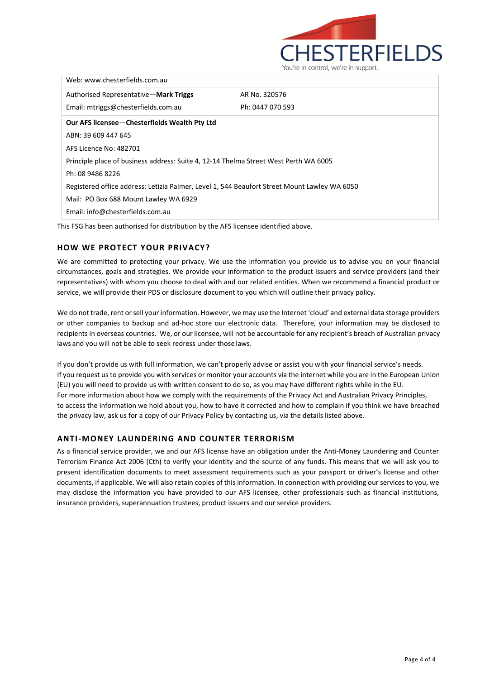

| Web: www.chesterfields.com.au                                                                |                  |  |  |  |
|----------------------------------------------------------------------------------------------|------------------|--|--|--|
| Authorised Representative-Mark Triggs                                                        | AR No. 320576    |  |  |  |
| Email: mtriggs@chesterfields.com.au                                                          | Ph: 0447 070 593 |  |  |  |
| Our AFS licensee-Chesterfields Wealth Pty Ltd                                                |                  |  |  |  |
| ABN: 39 609 447 645                                                                          |                  |  |  |  |
| AFS Licence No: 482701                                                                       |                  |  |  |  |
| Principle place of business address: Suite 4, 12-14 Thelma Street West Perth WA 6005         |                  |  |  |  |
| Ph: 08 9486 8226                                                                             |                  |  |  |  |
| Registered office address: Letizia Palmer, Level 1, 544 Beaufort Street Mount Lawley WA 6050 |                  |  |  |  |
| Mail: PO Box 688 Mount Lawley WA 6929                                                        |                  |  |  |  |
| Email: info@chesterfields.com.au                                                             |                  |  |  |  |
|                                                                                              |                  |  |  |  |

This FSG has been authorised for distribution by the AFS licensee identified above.

## **HOW WE PROTECT YOUR PRIVACY?**

We are committed to protecting your privacy. We use the information you provide us to advise you on your financial circumstances, goals and strategies. We provide your information to the product issuers and service providers (and their representatives) with whom you choose to deal with and our related entities. When we recommend a financial product or service, we will provide their PDS or disclosure document to you which will outline their privacy policy.

We do not trade, rent or sell your information. However, we may use the Internet 'cloud' and external data storage providers or other companies to backup and ad-hoc store our electronic data. Therefore, your information may be disclosed to recipients in overseas countries. We, or our licensee, will not be accountable for any recipient's breach of Australian privacy laws and you will not be able to seek redress under those laws.

If you don't provide us with full information, we can't properly advise or assist you with your financial service's needs. If you request us to provide you with services or monitor your accounts via the internet while you are in the European Union (EU) you will need to provide us with written consent to do so, as you may have different rights while in the EU. For more information about how we comply with the requirements of the Privacy Act and Australian Privacy Principles, to access the information we hold about you, how to have it corrected and how to complain if you think we have breached the privacy law, ask us for a copy of our Privacy Policy by contacting us, via the details listed above.

#### **ANTI-MONEY LAUNDERING AND COUNTER TERRORISM**

As a financial service provider, we and our AFS license have an obligation under the Anti‐Money Laundering and Counter Terrorism Finance Act 2006 (Cth) to verify your identity and the source of any funds. This means that we will ask you to present identification documents to meet assessment requirements such as your passport or driver's license and other documents, if applicable. We will also retain copies of this information. In connection with providing our services to you, we may disclose the information you have provided to our AFS licensee, other professionals such as financial institutions, insurance providers, superannuation trustees, product issuers and our service providers.